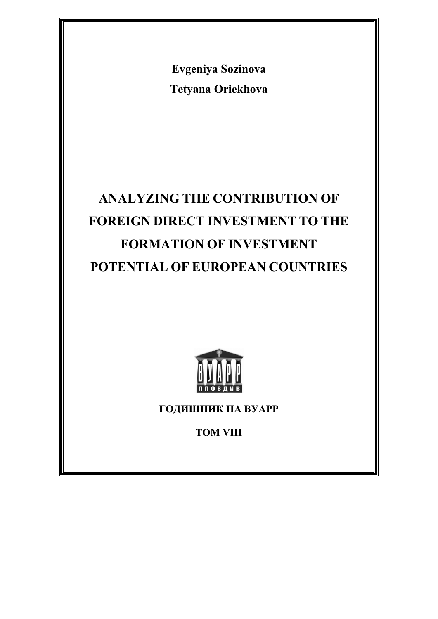**Evgeniya Sozinova Tetyana Oriekhova** 

# **ANALYZING THE CONTRIBUTION OF FOREIGN DIRECT INVESTMENT TO THE FORMATION OF INVESTMENT POTENTIAL OF EUROPEAN COUNTRIES**



**ГОДИШНИК НА ВУАРР** 

**ТОМ VIII**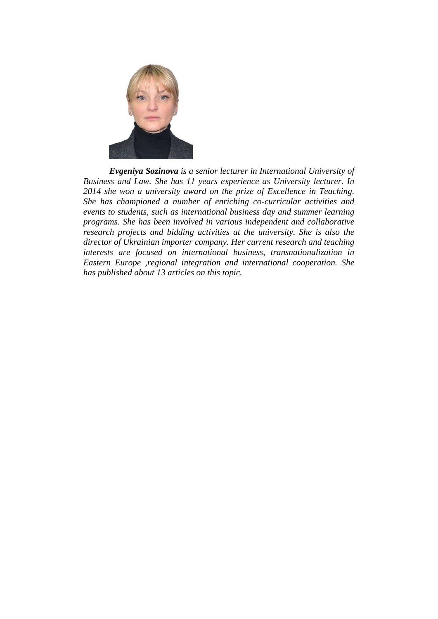

*Evgeniya Sozinova is a senior lecturer in International University of Business and Law. She has 11 years experience as University lecturer. In 2014 she won a university award on the prize of Excellence in Teaching. She has championed a number of enriching co-curricular activities and events to students, such as international business day and summer learning programs. She has been involved in various independent and collaborative research projects and bidding activities at the university. She is also the director of Ukrainian importer company. Her current research and teaching interests are focused on international business, transnationalization in Eastern Europe ,regional integration and international cooperation. She has published about 13 articles on this topic.*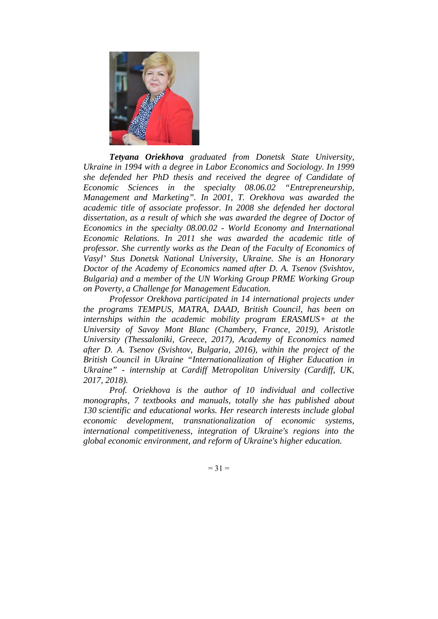

*Tetyana Oriekhova graduated from Donetsk State University, Ukraine in 1994 with a degree in Labor Economics and Sociology. In 1999 she defended her PhD thesis and received the degree of Candidate of Economic Sciences in the specialty 08.06.02 "Entrepreneurship, Management and Marketing". In 2001, T. Orekhova was awarded the academic title of associate professor. In 2008 she defended her doctoral*  dissertation, as a result of which she was awarded the degree of Doctor of *Economics in the specialty 08.00.02 - World Economy and International Economic Relations. In 2011 she was awarded the academic title of professor. She currently works as the Dean of the Faculty of Economics of Vasyl' Stus Donetsk National University, Ukraine. She is an Honorary Doctor of the Academy of Economics named after D. A. Tsenov (Svishtov, Bulgaria) and a member of the UN Working Group PRME Working Group on Poverty, a Challenge for Management Education.* 

*Professor Orekhova participated in 14 international projects under the programs TEMPUS, MATRA, DAAD, British Council, has been on internships within the academic mobility program ERASMUS+ at the University of Savoy Mont Blanc (Chambery, France, 2019), Aristotle University (Thessaloniki, Greece, 2017), Academy of Economics named after D. A. Tsenov (Svishtov, Bulgaria, 2016), within the project of the British Council in Ukraine "Internationalization of Higher Education in Ukraine" - internship at Cardiff Metropolitan University (Cardiff, UK, 2017, 2018).* 

*Prof. Oriekhova is the author of 10 individual and collective monographs, 7 textbooks and manuals, totally she has published about 130 scientific and educational works. Her research interests include global economic development, transnationalization of economic systems, international competitiveness, integration of Ukraine's regions into the global economic environment, and reform of Ukraine's higher education.* 

 $= 31 =$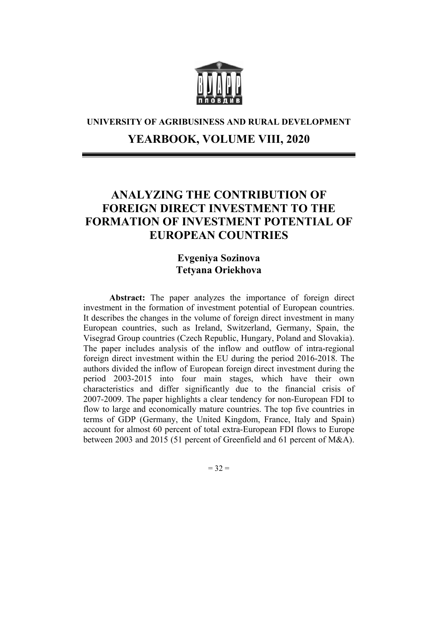

## **UNIVERSITY OF AGRIBUSINESS AND RURAL DEVELOPMENT YEARBOOK, VOLUME VIII, 2020**

### **ANALYZING THE CONTRIBUTION OF FOREIGN DIRECT INVESTMENT TO THE FORMATION OF INVESTMENT POTENTIAL OF EUROPEAN COUNTRIES**

#### **Evgeniya Sozinova Tetyana Oriekhova**

**Abstract:** The paper analyzes the importance of foreign direct investment in the formation of investment potential of European countries. It describes the changes in the volume of foreign direct investment in many European countries, such as Ireland, Switzerland, Germany, Spain, the Visegrad Group countries (Czech Republic, Hungary, Poland and Slovakia). The paper includes analysis of the inflow and outflow of intra-regional foreign direct investment within the EU during the period 2016-2018. The authors divided the inflow of European foreign direct investment during the period 2003-2015 into four main stages, which have their own characteristics and differ significantly due to the financial crisis of 2007-2009. The paper highlights a clear tendency for non-European FDI to flow to large and economically mature countries. The top five countries in terms of GDP (Germany, the United Kingdom, France, Italy and Spain) account for almost 60 percent of total extra-European FDI flows to Europe between 2003 and 2015 (51 percent of Greenfield and 61 percent of M&A).

 $= 32 =$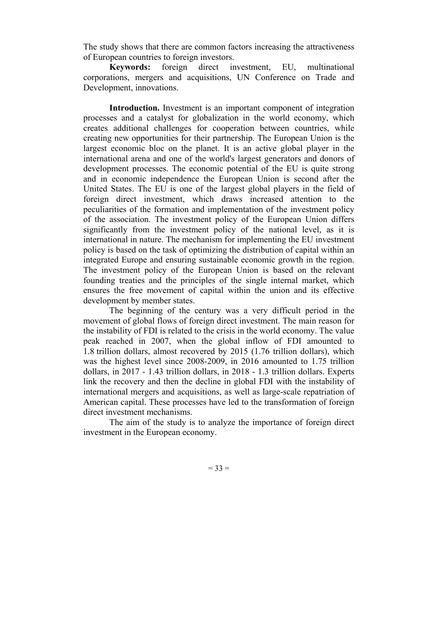The study shows that there are common factors increasing the attractiveness of European countries to foreign investors.

**Keywords:** foreign direct investment, EU, multinational corporations, mergers and acquisitions, UN Conference on Trade and Development, innovations.

**Introduction.** Investment is an important component of integration processes and a catalyst for globalization in the world economy, which creates additional challenges for cooperation between countries, while creating new opportunities for their partnership. The European Union is the largest economic bloc on the planet. It is an active global player in the international arena and one of the world's largest generators and donors of development processes. The economic potential of the EU is quite strong and in economic independence the European Union is second after the United States. The EU is one of the largest global players in the field of foreign direct investment, which draws increased attention to the peculiarities of the formation and implementation of the investment policy of the association. The investment policy of the European Union differs significantly from the investment policy of the national level, as it is international in nature. The mechanism for implementing the EU investment policy is based on the task of optimizing the distribution of capital within an integrated Europe and ensuring sustainable economic growth in the region. The investment policy of the European Union is based on the relevant founding treaties and the principles of the single internal market, which ensures the free movement of capital within the union and its effective development by member states.

The beginning of the century was a very difficult period in the movement of global flows of foreign direct investment. The main reason for the instability of FDI is related to the crisis in the world economy. The value peak reached in 2007, when the global inflow of FDI amounted to 1.8 trillion dollars, almost recovered by 2015 (1.76 trillion dollars), which was the highest level since 2008-2009, in 2016 amounted to 1.75 trillion dollars, in 2017 - 1.43 trillion dollars, in 2018 - 1.3 trillion dollars. Experts link the recovery and then the decline in global FDI with the instability of international mergers and acquisitions, as well as large-scale repatriation of American capital. These processes have led to the transformation of foreign direct investment mechanisms.

The aim of the study is to analyze the importance of foreign direct investment in the European economy.

 $= 33 =$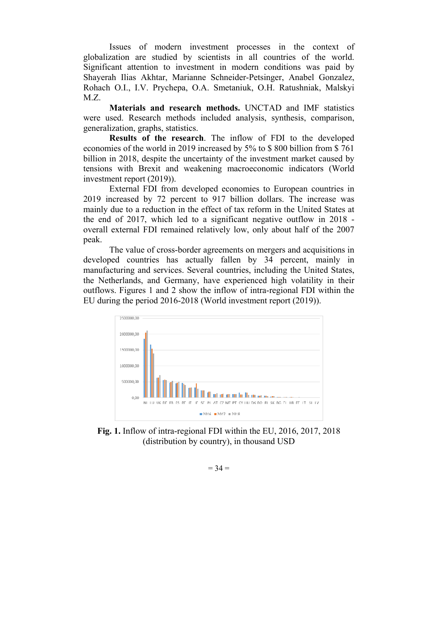Issues of modern investment processes in the context of globalization are studied by scientists in all countries of the world. Significant attention to investment in modern conditions was paid by Shayerah Ilias Akhtar, Marianne Schneider-Petsinger, Anabel Gonzalez, Rohach O.I., I.V. Prychepa, O.A. Smetaniuk, O.H. Ratushniak, Malskyi  $MZ$ 

**Materials and research methods.** UNCTAD and IMF statistics were used. Research methods included analysis, synthesis, comparison, generalization, graphs, statistics.

**Results of the research**. The inflow of FDI to the developed economies of the world in 2019 increased by 5% to \$ 800 billion from \$ 761 billion in 2018, despite the uncertainty of the investment market caused by tensions with Brexit and weakening macroeconomic indicators (World investment report (2019)).

External FDI from developed economies to European countries in 2019 increased by 72 percent to 917 billion dollars. The increase was mainly due to a reduction in the effect of tax reform in the United States at the end of 2017, which led to a significant negative outflow in 2018 overall external FDI remained relatively low, only about half of the 2007 peak.

The value of cross-border agreements on mergers and acquisitions in developed countries has actually fallen by 34 percent, mainly in manufacturing and services. Several countries, including the United States, the Netherlands, and Germany, have experienced high volatility in their outflows. Figures 1 and 2 show the inflow of intra-regional FDI within the EU during the period 2016-2018 (World investment report (2019)).



**Fig. 1.** Inflow of intra-regional FDI within the EU, 2016, 2017, 2018 (distribution by country), in thousand USD

 $= 34 =$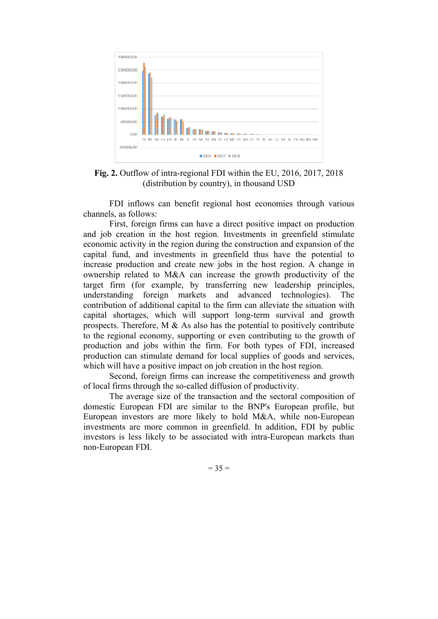

**Fig. 2.** Outflow of intra-regional FDI within the EU, 2016, 2017, 2018 (distribution by country), in thousand USD

FDI inflows can benefit regional host economies through various channels, as follows:

First, foreign firms can have a direct positive impact on production and job creation in the host region. Investments in greenfield stimulate economic activity in the region during the construction and expansion of the capital fund, and investments in greenfield thus have the potential to increase production and create new jobs in the host region. A change in ownership related to M&A can increase the growth productivity of the target firm (for example, by transferring new leadership principles, understanding foreign markets and advanced technologies). The contribution of additional capital to the firm can alleviate the situation with capital shortages, which will support long-term survival and growth prospects. Therefore,  $M \& As also has the potential to positively contribute$ to the regional economy, supporting or even contributing to the growth of production and jobs within the firm. For both types of FDI, increased production can stimulate demand for local supplies of goods and services, which will have a positive impact on job creation in the host region.

Second, foreign firms can increase the competitiveness and growth of local firms through the so-called diffusion of productivity.

The average size of the transaction and the sectoral composition of domestic European FDI are similar to the BNP's European profile, but European investors are more likely to hold M&A, while non-European investments are more common in greenfield. In addition, FDI by public investors is less likely to be associated with intra-European markets than non-European FDI.

 $= 35 =$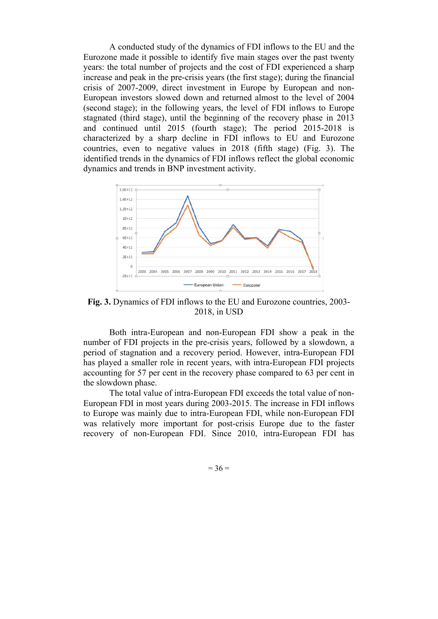A conducted study of the dynamics of FDI inflows to the EU and the Eurozone made it possible to identify five main stages over the past twenty years: the total number of projects and the cost of FDI experienced a sharp increase and peak in the pre-crisis years (the first stage); during the financial crisis of 2007-2009, direct investment in Europe by European and non-European investors slowed down and returned almost to the level of 2004 (second stage); in the following years, the level of FDI inflows to Europe stagnated (third stage), until the beginning of the recovery phase in 2013 and continued until 2015 (fourth stage); The period 2015-2018 is characterized by a sharp decline in FDI inflows to EU and Eurozone countries, even to negative values in 2018 (fifth stage) (Fig. 3). The identified trends in the dynamics of FDI inflows reflect the global economic dynamics and trends in BNP investment activity.



**Fig. 3.** Dynamics of FDI inflows to the EU and Eurozone countries, 2003- 2018, in USD

Both intra-European and non-European FDI show a peak in the number of FDI projects in the pre-crisis years, followed by a slowdown, a period of stagnation and a recovery period. However, intra-European FDI has played a smaller role in recent years, with intra-European FDI projects accounting for 57 per cent in the recovery phase compared to 63 per cent in the slowdown phase.

The total value of intra-European FDI exceeds the total value of non-European FDI in most years during 2003-2015. The increase in FDI inflows to Europe was mainly due to intra-European FDI, while non-European FDI was relatively more important for post-crisis Europe due to the faster recovery of non-European FDI. Since 2010, intra-European FDI has

 $= 36 =$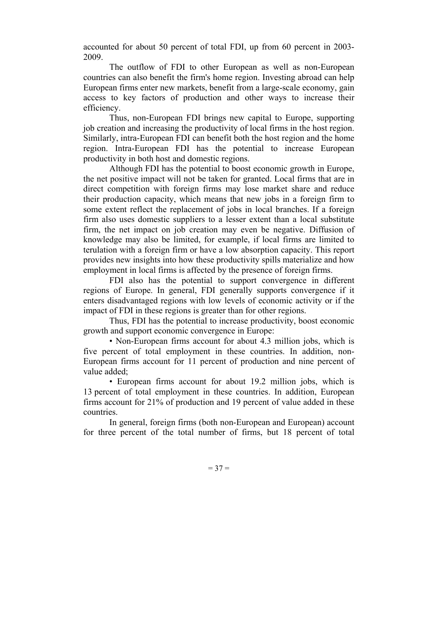accounted for about 50 percent of total FDI, up from 60 percent in 2003- 2009.

The outflow of FDI to other European as well as non-European countries can also benefit the firm's home region. Investing abroad can help European firms enter new markets, benefit from a large-scale economy, gain access to key factors of production and other ways to increase their efficiency.

Thus, non-European FDI brings new capital to Europe, supporting job creation and increasing the productivity of local firms in the host region. Similarly, intra-European FDI can benefit both the host region and the home region. Intra-European FDI has the potential to increase European productivity in both host and domestic regions.

Although FDI has the potential to boost economic growth in Europe, the net positive impact will not be taken for granted. Local firms that are in direct competition with foreign firms may lose market share and reduce their production capacity, which means that new jobs in a foreign firm to some extent reflect the replacement of jobs in local branches. If a foreign firm also uses domestic suppliers to a lesser extent than a local substitute firm, the net impact on job creation may even be negative. Diffusion of knowledge may also be limited, for example, if local firms are limited to terulation with a foreign firm or have a low absorption capacity. This report provides new insights into how these productivity spills materialize and how employment in local firms is affected by the presence of foreign firms.

FDI also has the potential to support convergence in different regions of Europe. In general, FDI generally supports convergence if it enters disadvantaged regions with low levels of economic activity or if the impact of FDI in these regions is greater than for other regions.

Thus, FDI has the potential to increase productivity, boost economic growth and support economic convergence in Europe:

• Non-European firms account for about 4.3 million jobs, which is five percent of total employment in these countries. In addition, non-European firms account for 11 percent of production and nine percent of value added;

• European firms account for about 19.2 million jobs, which is 13 percent of total employment in these countries. In addition, European firms account for 21% of production and 19 percent of value added in these countries.

In general, foreign firms (both non-European and European) account for three percent of the total number of firms, but 18 percent of total

 $= 37 =$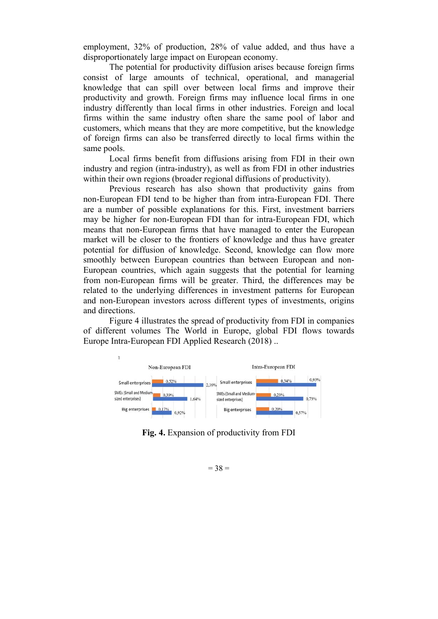employment, 32% of production, 28% of value added, and thus have a disproportionately large impact on European economy.

The potential for productivity diffusion arises because foreign firms consist of large amounts of technical, operational, and managerial knowledge that can spill over between local firms and improve their productivity and growth. Foreign firms may influence local firms in one industry differently than local firms in other industries. Foreign and local firms within the same industry often share the same pool of labor and customers, which means that they are more competitive, but the knowledge of foreign firms can also be transferred directly to local firms within the same pools.

Local firms benefit from diffusions arising from FDI in their own industry and region (intra-industry), as well as from FDI in other industries within their own regions (broader regional diffusions of productivity).

Previous research has also shown that productivity gains from non-European FDI tend to be higher than from intra-European FDI. There are a number of possible explanations for this. First, investment barriers may be higher for non-European FDI than for intra-European FDI, which means that non-European firms that have managed to enter the European market will be closer to the frontiers of knowledge and thus have greater potential for diffusion of knowledge. Second, knowledge can flow more smoothly between European countries than between European and non-European countries, which again suggests that the potential for learning from non-European firms will be greater. Third, the differences may be related to the underlying differences in investment patterns for European and non-European investors across different types of investments, origins and directions.

Figure 4 illustrates the spread of productivity from FDI in companies of different volumes The World in Europe, global FDI flows towards Europe Intra-European FDI Applied Research (2018) ..



**Fig. 4.** Expansion of productivity from FDI

 $= 38 =$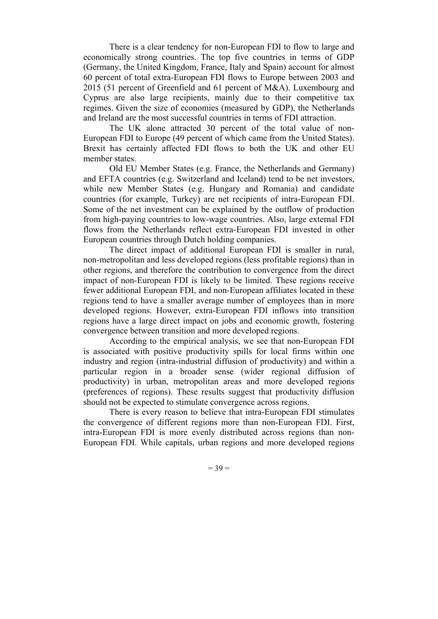There is a clear tendency for non-European FDI to flow to large and economically strong countries. The top five countries in terms of GDP (Germany, the United Kingdom, France, Italy and Spain) account for almost 60 percent of total extra-European FDI flows to Europe between 2003 and 2015 (51 percent of Greenfield and 61 percent of M&A). Luxembourg and Cyprus are also large recipients, mainly due to their competitive tax regimes. Given the size of economies (measured by GDP), the Netherlands and Ireland are the most successful countries in terms of FDI attraction.

The UK alone attracted 30 percent of the total value of non-European FDI to Europe (49 percent of which came from the United States). Brexit has certainly affected FDI flows to both the UK and other EU member states.

Old EU Member States (e.g. France, the Netherlands and Germany) and EFTA countries (e.g. Switzerland and Iceland) tend to be net investors, while new Member States (e.g. Hungary and Romania) and candidate countries (for example, Turkey) are net recipients of intra-European FDI. Some of the net investment can be explained by the outflow of production from high-paying countries to low-wage countries. Also, large external FDI flows from the Netherlands reflect extra-European FDI invested in other European countries through Dutch holding companies.

The direct impact of additional European FDI is smaller in rural, non-metropolitan and less developed regions (less profitable regions) than in other regions, and therefore the contribution to convergence from the direct impact of non-European FDI is likely to be limited. These regions receive fewer additional European FDI, and non-European affiliates located in these regions tend to have a smaller average number of employees than in more developed regions. However, extra-European FDI inflows into transition regions have a large direct impact on jobs and economic growth, fostering convergence between transition and more developed regions.

According to the empirical analysis, we see that non-European FDI is associated with positive productivity spills for local firms within one industry and region (intra-industrial diffusion of productivity) and within a particular region in a broader sense (wider regional diffusion of productivity) in urban, metropolitan areas and more developed regions (preferences of regions). These results suggest that productivity diffusion should not be expected to stimulate convergence across regions.

There is every reason to believe that intra-European FDI stimulates the convergence of different regions more than non-European FDI. First, intra-European FDI is more evenly distributed across regions than non-European FDI. While capitals, urban regions and more developed regions

 $= 39 =$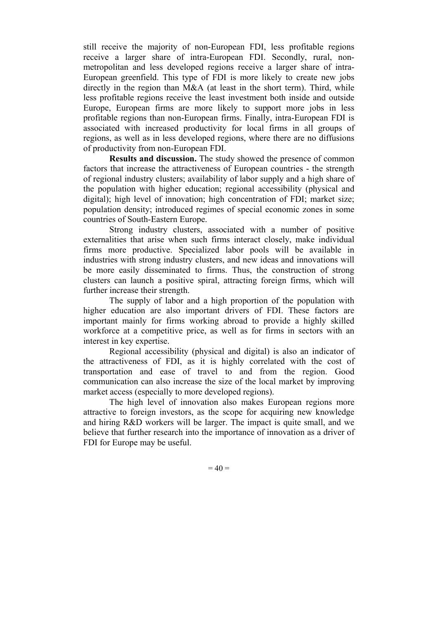still receive the majority of non-European FDI, less profitable regions receive a larger share of intra-European FDI. Secondly, rural, nonmetropolitan and less developed regions receive a larger share of intra-European greenfield. This type of FDI is more likely to create new jobs directly in the region than M&A (at least in the short term). Third, while less profitable regions receive the least investment both inside and outside Europe, European firms are more likely to support more jobs in less profitable regions than non-European firms. Finally, intra-European FDI is associated with increased productivity for local firms in all groups of regions, as well as in less developed regions, where there are no diffusions of productivity from non-European FDI.

**Results and discussion.** The study showed the presence of common factors that increase the attractiveness of European countries - the strength of regional industry clusters; availability of labor supply and a high share of the population with higher education; regional accessibility (physical and digital); high level of innovation; high concentration of FDI; market size; population density; introduced regimes of special economic zones in some countries of South-Eastern Europe.

Strong industry clusters, associated with a number of positive externalities that arise when such firms interact closely, make individual firms more productive. Specialized labor pools will be available in industries with strong industry clusters, and new ideas and innovations will be more easily disseminated to firms. Thus, the construction of strong clusters can launch a positive spiral, attracting foreign firms, which will further increase their strength.

The supply of labor and a high proportion of the population with higher education are also important drivers of FDI. These factors are important mainly for firms working abroad to provide a highly skilled workforce at a competitive price, as well as for firms in sectors with an interest in key expertise.

Regional accessibility (physical and digital) is also an indicator of the attractiveness of FDI, as it is highly correlated with the cost of transportation and ease of travel to and from the region. Good communication can also increase the size of the local market by improving market access (especially to more developed regions).

The high level of innovation also makes European regions more attractive to foreign investors, as the scope for acquiring new knowledge and hiring R&D workers will be larger. The impact is quite small, and we believe that further research into the importance of innovation as a driver of FDI for Europe may be useful.

 $= 40 =$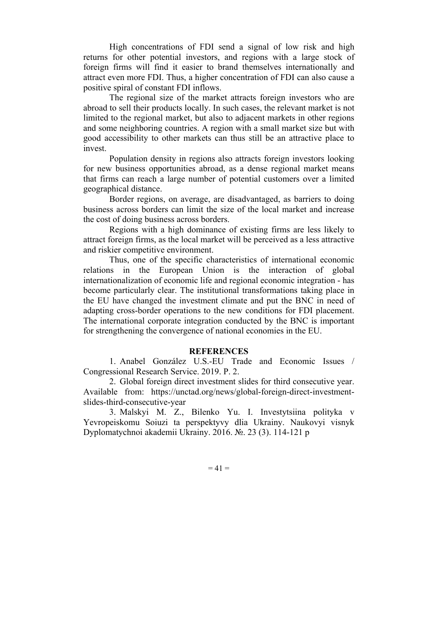High concentrations of FDI send a signal of low risk and high returns for other potential investors, and regions with a large stock of foreign firms will find it easier to brand themselves internationally and attract even more FDI. Thus, a higher concentration of FDI can also cause a positive spiral of constant FDI inflows.

The regional size of the market attracts foreign investors who are abroad to sell their products locally. In such cases, the relevant market is not limited to the regional market, but also to adjacent markets in other regions and some neighboring countries. A region with a small market size but with good accessibility to other markets can thus still be an attractive place to invest.

Population density in regions also attracts foreign investors looking for new business opportunities abroad, as a dense regional market means that firms can reach a large number of potential customers over a limited geographical distance.

Border regions, on average, are disadvantaged, as barriers to doing business across borders can limit the size of the local market and increase the cost of doing business across borders.

Regions with a high dominance of existing firms are less likely to attract foreign firms, as the local market will be perceived as a less attractive and riskier competitive environment.

Thus, one of the specific characteristics of international economic relations in the European Union is the interaction of global internationalization of economic life and regional economic integration - has become particularly clear. The institutional transformations taking place in the EU have changed the investment climate and put the BNC in need of adapting cross-border operations to the new conditions for FDI placement. The international corporate integration conducted by the BNC is important for strengthening the convergence of national economies in the EU.

#### **REFERENCES**

1. Anabel González U.S.-EU Trade and Economic Issues / Congressional Research Service. 2019. P. 2.

2. Global foreign direct investment slides for third consecutive year. Available from: https://unctad.org/news/global-foreign-direct-investmentslides-third-consecutive-year

3. Malskyi M. Z., Bilenko Yu. I. Investytsiina polityka v Yevropeiskomu Soiuzi ta perspektyvy dlia Ukrainy. Naukovyi visnyk Dyplomatychnoi akademii Ukrainy. 2016. №. 23 (3). 114-121 p

 $= 41 =$